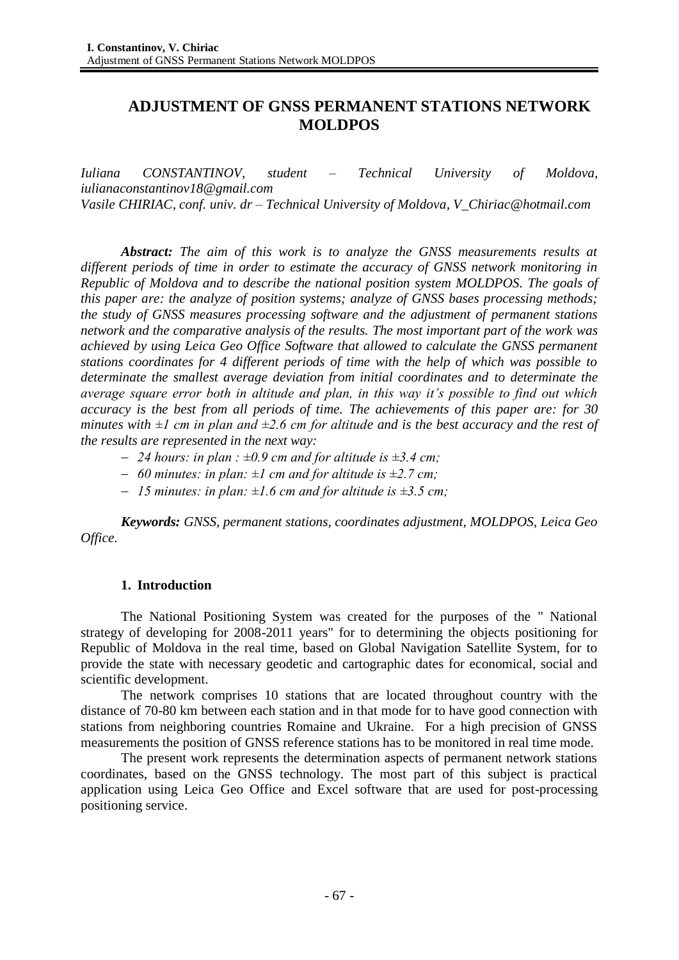# **ADJUSTMENT OF GNSS PERMANENT STATIONS NETWORK MOLDPOS**

*Iuliana CONSTANTINOV, student – Technical University of Moldova, iulianaconstantinov18@gmail.com Vasile CHIRIAC, conf. univ. dr – Technical University of Moldova, V\_Chiriac@hotmail.com*

*Abstract: The aim of this work is to analyze the GNSS measurements results at different periods of time in order to estimate the accuracy of GNSS network monitoring in Republic of Moldova and to describe the national position system MOLDPOS. The goals of this paper are: the analyze of position systems; analyze of GNSS bases processing methods; the study of GNSS measures processing software and the adjustment of permanent stations network and the comparative analysis of the results. The most important part of the work was achieved by using Leica Geo Office Software that allowed to calculate the GNSS permanent stations coordinates for 4 different periods of time with the help of which was possible to determinate the smallest average deviation from initial coordinates and to determinate the average square error both in altitude and plan, in this way it's possible to find out which accuracy is the best from all periods of time. The achievements of this paper are: for 30 minutes with*  $\pm 1$  *cm in plan and*  $\pm 2.6$  *cm for altitude and is the best accuracy and the rest of the results are represented in the next way:*

- *24 hours: in plan : ±0.9 cm and for altitude is ±3.4 cm;*
- *60 minutes: in plan: ±1 cm and for altitude is ±2.7 cm;*
- *15 minutes: in plan: ±1.6 cm and for altitude is ±3.5 cm;*

*Keywords: GNSS, permanent stations, coordinates adjustment, MOLDPOS, Leica Geo Office.*

## **1. Introduction**

The National Positioning System was created for the purposes of the " National strategy of developing for 2008-2011 years" for to determining the objects positioning for Republic of Moldova in the real time, based on Global Navigation Satellite System, for to provide the state with necessary geodetic and cartographic dates for economical, social and scientific development.

The network comprises 10 stations that are located throughout country with the distance of 70-80 km between each station and in that mode for to have good connection with stations from neighboring countries Romaine and Ukraine. For a high precision of GNSS measurements the position of GNSS reference stations has to be monitored in real time mode.

The present work represents the determination aspects of permanent network stations coordinates, based on the GNSS technology. The most part of this subject is practical application using Leica Geo Office and Excel software that are used for post-processing positioning service.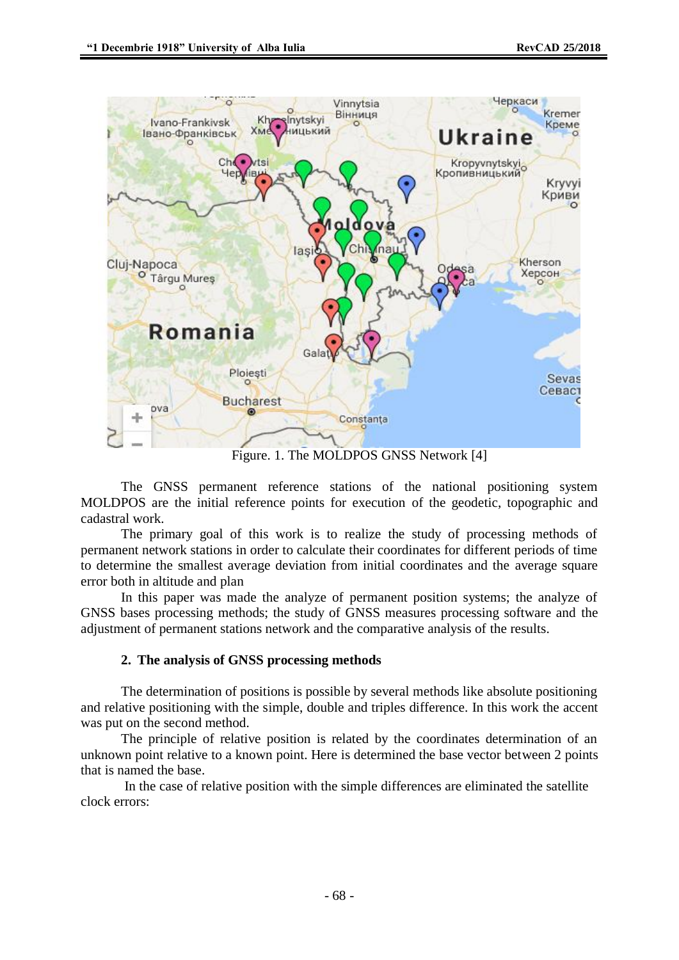

Figure. 1. The MOLDPOS GNSS Network [4]

The GNSS permanent reference stations of the national positioning system MOLDPOS are the initial reference points for execution of the geodetic, topographic and cadastral work.

The primary goal of this work is to realize the study of processing methods of permanent network stations in order to calculate their coordinates for different periods of time to determine the smallest average deviation from initial coordinates and the average square error both in altitude and plan

In this paper was made the analyze of permanent position systems; the analyze of GNSS bases processing methods; the study of GNSS measures processing software and the adjustment of permanent stations network and the comparative analysis of the results.

## **2. The analysis of GNSS processing methods**

The determination of positions is possible by several methods like absolute positioning and relative positioning with the simple, double and triples difference. In this work the accent was put on the second method.

The principle of relative position is related by the coordinates determination of an unknown point relative to a known point. Here is determined the base vector between 2 points that is named the base.

In the case of relative position with the simple differences are eliminated the satellite clock errors: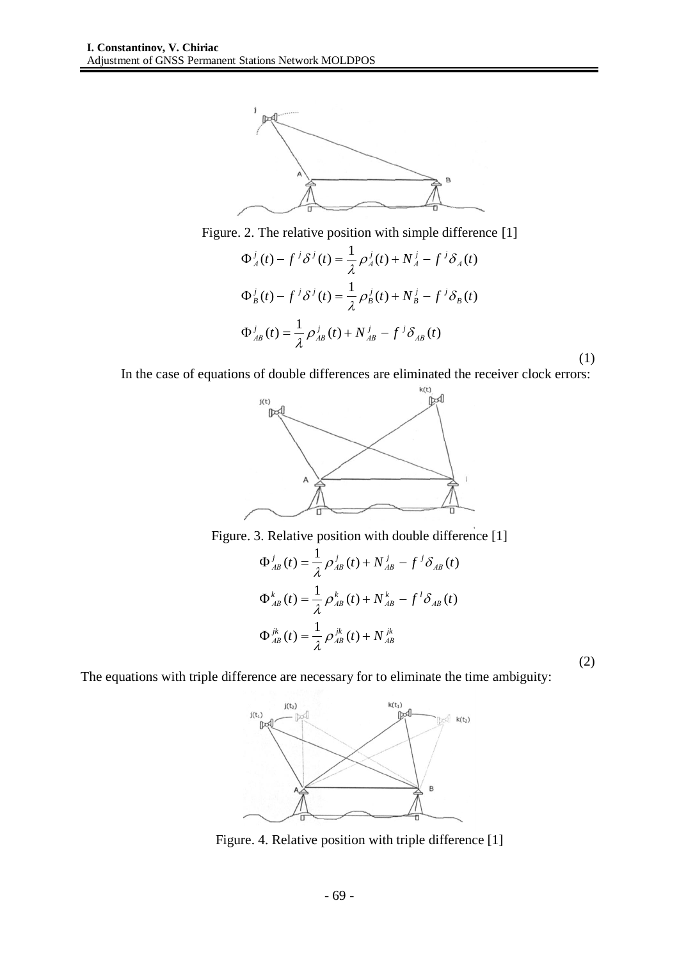

Figure. 2. The relative position with simple difference [1]

$$
\Phi_A^j(t) - f^j \delta^j(t) = \frac{1}{\lambda} \rho_A^j(t) + N_A^j - f^j \delta_A(t)
$$
  

$$
\Phi_B^j(t) - f^j \delta^j(t) = \frac{1}{\lambda} \rho_B^j(t) + N_B^j - f^j \delta_B(t)
$$
  

$$
\Phi_{AB}^j(t) = \frac{1}{\lambda} \rho_{AB}^j(t) + N_{AB}^j - f^j \delta_{AB}(t)
$$
 (1)

In the case of equations of double differences are eliminated the receiver clock errors:<br> $\mathbb{R}^{(t)}$ 



Figure. 3. Relative position with double difference [1]

$$
\Phi^{j}_{AB}(t) = \frac{1}{\lambda} \rho^{j}_{AB}(t) + N^{j}_{AB} - f^{j} \delta_{AB}(t)
$$
  

$$
\Phi^{k}_{AB}(t) = \frac{1}{\lambda} \rho^{k}_{AB}(t) + N^{k}_{AB} - f^{l} \delta_{AB}(t)
$$
  

$$
\Phi^{jk}_{AB}(t) = \frac{1}{\lambda} \rho^{jk}_{AB}(t) + N^{jk}_{AB}
$$

(2)

The equations with triple difference are necessary for to eliminate the time ambiguity:



Figure. 4. Relative position with triple difference [1]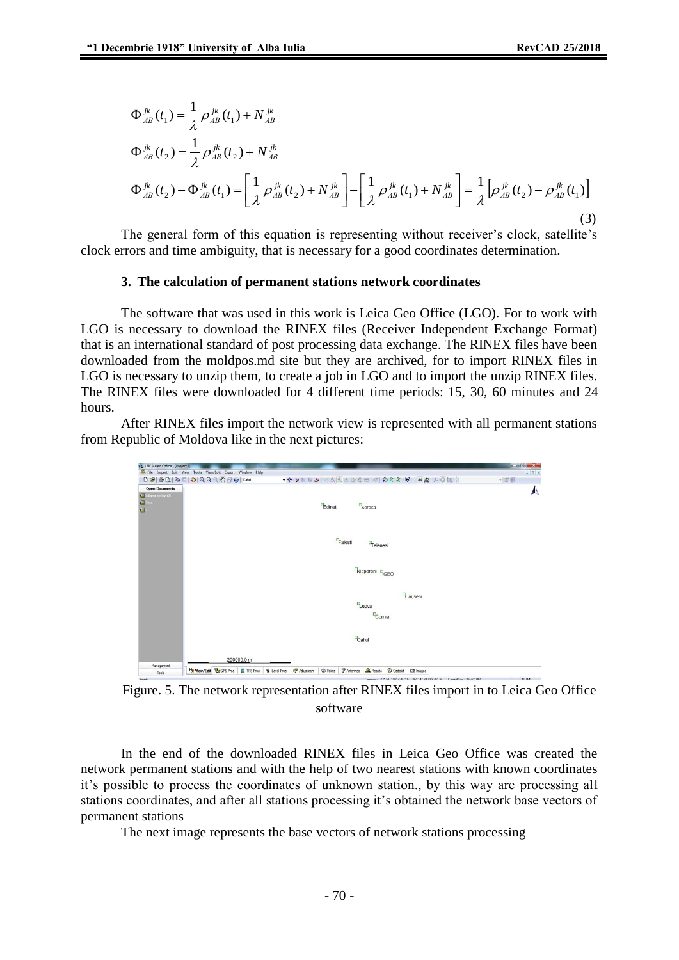$$
\Phi_{AB}^{jk}(t_1) = \frac{1}{\lambda} \rho_{AB}^{jk}(t_1) + N_{AB}^{jk}
$$
\n
$$
\Phi_{AB}^{jk}(t_2) = \frac{1}{\lambda} \rho_{AB}^{jk}(t_2) + N_{AB}^{jk}
$$
\n
$$
\Phi_{AB}^{jk}(t_2) - \Phi_{AB}^{jk}(t_1) = \left[ \frac{1}{\lambda} \rho_{AB}^{jk}(t_2) + N_{AB}^{jk} \right] - \left[ \frac{1}{\lambda} \rho_{AB}^{jk}(t_1) + N_{AB}^{jk} \right] = \frac{1}{\lambda} \left[ \rho_{AB}^{jk}(t_2) - \rho_{AB}^{jk}(t_1) \right]
$$
\n(3)

The general form of this equation is representing without receiver's clock, satellite's clock errors and time ambiguity, that is necessary for a good coordinates determination.

#### **3. The calculation of permanent stations network coordinates**

The software that was used in this work is Leica Geo Office (LGO). For to work with LGO is necessary to download the RINEX files (Receiver Independent Exchange Format) that is an international standard of post processing data exchange. The RINEX files have been downloaded from the moldpos.md site but they are archived, for to import RINEX files in LGO is necessary to unzip them, to create a job in LGO and to import the unzip RINEX files. The RINEX files were downloaded for 4 different time periods: 15, 30, 60 minutes and 24 hours.

After RINEX files import the network view is represented with all permanent stations from Republic of Moldova like in the next pictures:



Figure. 5. The network representation after RINEX files import in to Leica Geo Office software

In the end of the downloaded RINEX files in Leica Geo Office was created the network permanent stations and with the help of two nearest stations with known coordinates it's possible to process the coordinates of unknown station., by this way are processing all stations coordinates, and after all stations processing it's obtained the network base vectors of permanent stations

The next image represents the base vectors of network stations processing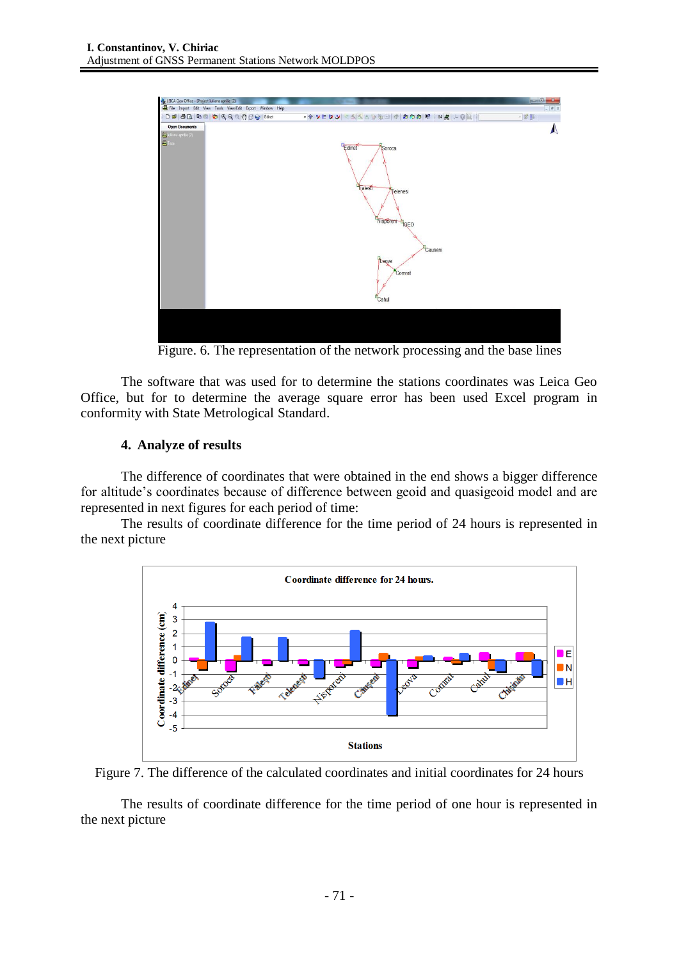

Figure. 6. The representation of the network processing and the base lines

The software that was used for to determine the stations coordinates was Leica Geo Office, but for to determine the average square error has been used Excel program in conformity with State Metrological Standard.

## **4. Analyze of results**

The difference of coordinates that were obtained in the end shows a bigger difference for altitude's coordinates because of difference between geoid and quasigeoid model and are represented in next figures for each period of time:

The results of coordinate difference for the time period of 24 hours is represented in the next picture





The results of coordinate difference for the time period of one hour is represented in the next picture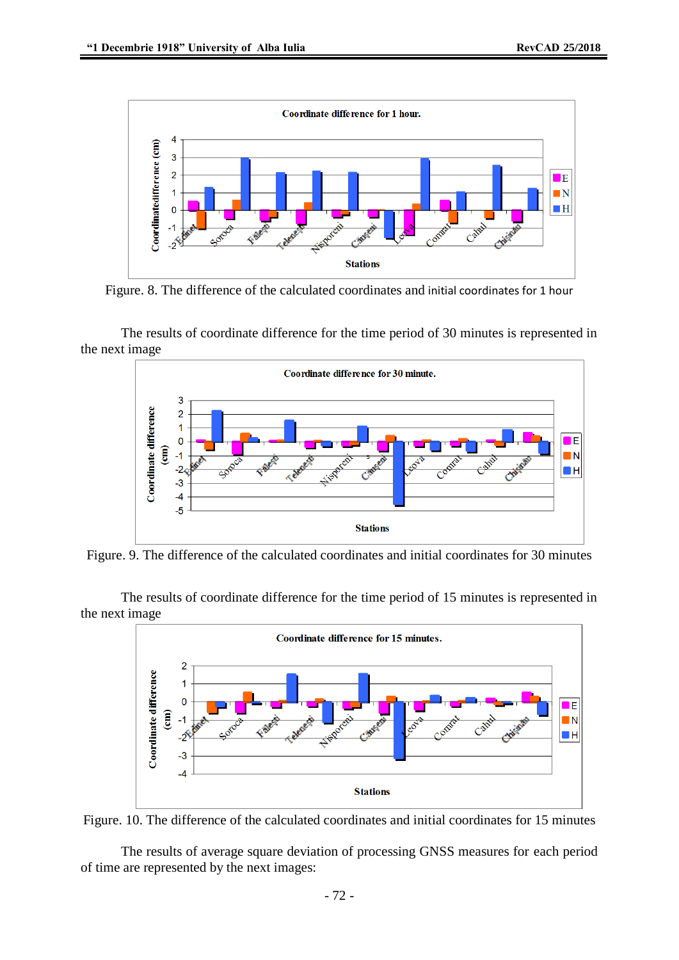

Figure. 8. The difference of the calculated coordinates and initial coordinates for 1 hour

The results of coordinate difference for the time period of 30 minutes is represented in the next image



Figure. 9. The difference of the calculated coordinates and initial coordinates for 30 minutes

The results of coordinate difference for the time period of 15 minutes is represented in the next image





The results of average square deviation of processing GNSS measures for each period of time are represented by the next images: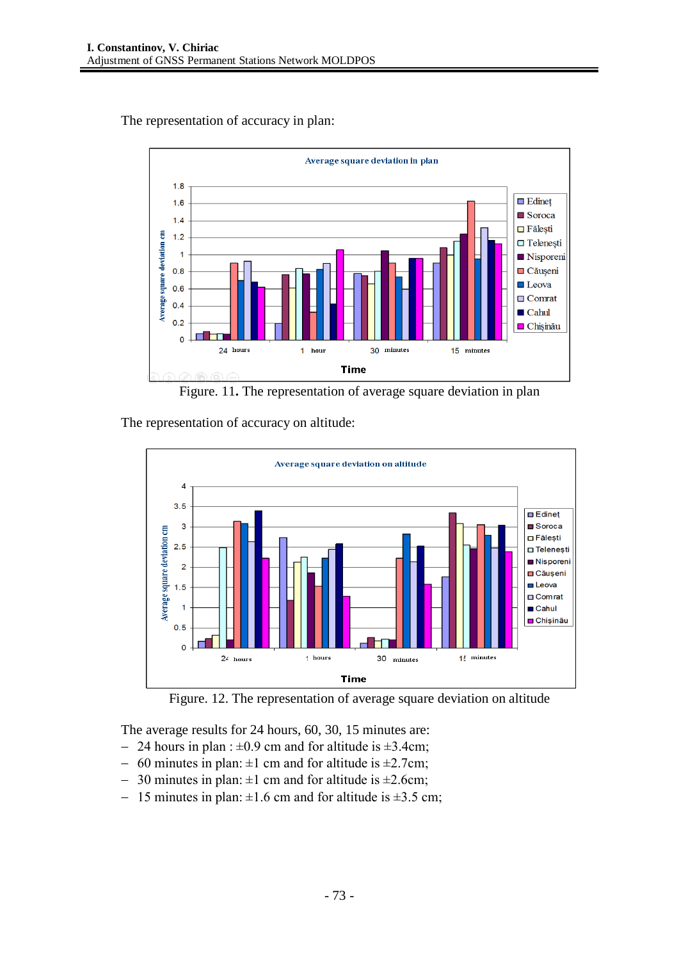

The representation of accuracy in plan:

Figure. 11**.** The representation of average square deviation in plan

The representation of accuracy on altitude:



Figure. 12. The representation of average square deviation on altitude

The average results for 24 hours, 60, 30, 15 minutes are:

- $-$  24 hours in plan :  $\pm 0.9$  cm and for altitude is  $\pm 3.4$ cm;
- $-60$  minutes in plan:  $\pm 1$  cm and for altitude is  $\pm 2.7$ cm;
- $-$  30 minutes in plan:  $\pm 1$  cm and for altitude is  $\pm 2.6$ cm;
- 15 minutes in plan:  $\pm 1.6$  cm and for altitude is  $\pm 3.5$  cm;